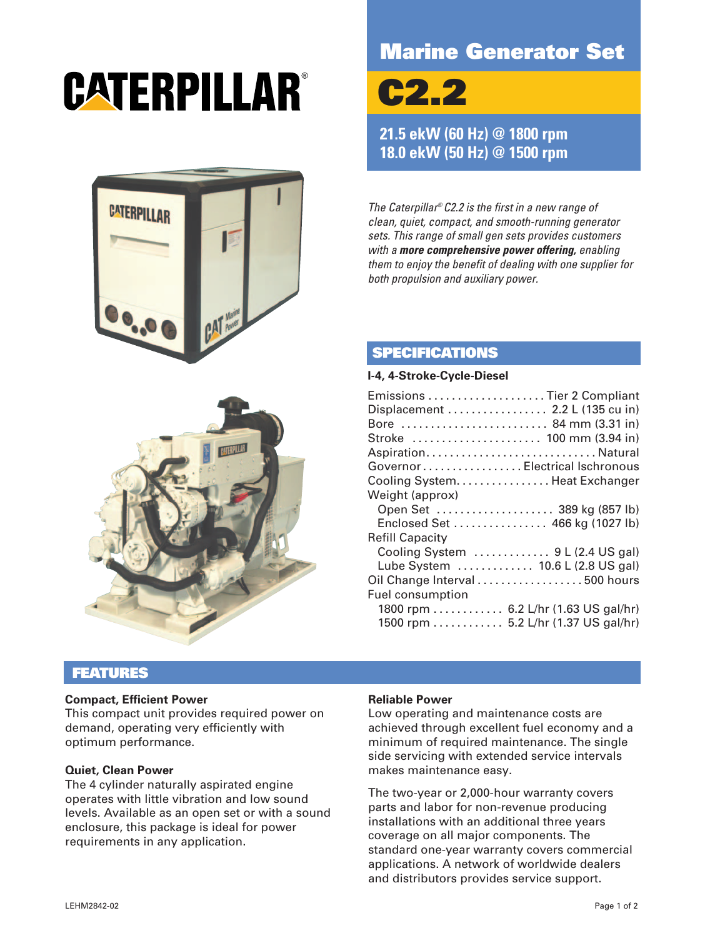# CATERPILLAR®



# **Marine Generator Set**

**C2.2**

**21.5 ekW (60 Hz) @ 1800 rpm 18.0 ekW (50 Hz) @ 1500 rpm**

The Caterpillar® C2.2 is the first in a new range of clean, quiet, compact, and smooth-running generator sets. This range of small gen sets provides customers with a **more comprehensive power offering,** enabling them to enjoy the benefit of dealing with one supplier for both propulsion and auxiliary power.

# **SPECIFICATIONS**

#### **I-4, 4-Stroke-Cycle-Diesel**

| Emissions Tier 2 Compliant      |                                     |
|---------------------------------|-------------------------------------|
| Displacement  2.2 L (135 cu in) |                                     |
| Bore  84 mm (3.31 in)           |                                     |
| Stroke  100 mm (3.94 in)        |                                     |
| AspirationNatural               |                                     |
| Governor Electrical Ischronous  |                                     |
| Cooling System. Heat Exchanger  |                                     |
| Weight (approx)                 |                                     |
|                                 | Open Set  389 kg (857 lb)           |
|                                 | Enclosed Set  466 kg (1027 lb)      |
| <b>Refill Capacity</b>          |                                     |
|                                 | Cooling System  9 L (2.4 US gal)    |
|                                 | Lube System  10.6 L (2.8 US gal)    |
| Oil Change Interval 500 hours   |                                     |
| <b>Fuel consumption</b>         |                                     |
|                                 | 1800 rpm  6.2 L/hr (1.63 US gal/hr) |
|                                 | 1500 rpm 5.2 L/hr (1.37 US gal/hr)  |



### **FEATURES**

#### **Compact, Efficient Power**

This compact unit provides required power on demand, operating very efficiently with optimum performance.

#### **Quiet, Clean Power**

The 4 cylinder naturally aspirated engine operates with little vibration and low sound levels. Available as an open set or with a sound enclosure, this package is ideal for power requirements in any application.

#### **Reliable Power**

Low operating and maintenance costs are achieved through excellent fuel economy and a minimum of required maintenance. The single side servicing with extended service intervals makes maintenance easy.

The two-year or 2,000-hour warranty covers parts and labor for non-revenue producing installations with an additional three years coverage on all major components. The standard one-year warranty covers commercial applications. A network of worldwide dealers and distributors provides service support.